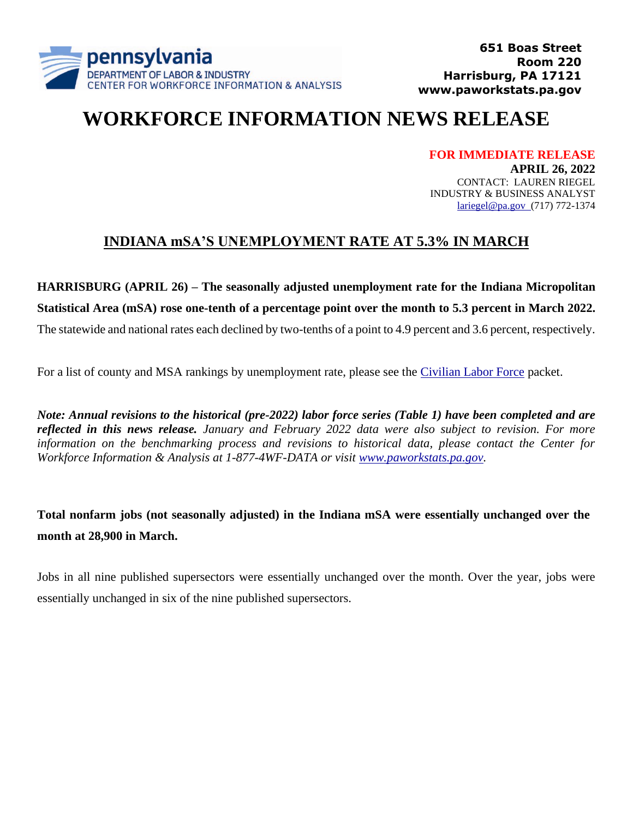

# **WORKFORCE INFORMATION NEWS RELEASE**

**FOR IMMEDIATE RELEASE APRIL 26, 2022** CONTACT: LAUREN RIEGEL INDUSTRY & BUSINESS ANALYST

[lariegel@pa.gov](mailto:lariegel@pa.gov) (717) 772-1374

## **INDIANA mSA'S UNEMPLOYMENT RATE AT 5.3% IN MARCH**

### **HARRISBURG (APRIL 26) – The seasonally adjusted unemployment rate for the Indiana Micropolitan**

**Statistical Area (mSA) rose one-tenth of a percentage point over the month to 5.3 percent in March 2022.**

The statewide and national rates each declined by two-tenths of a point to 4.9 percent and 3.6 percent, respectively.

For a list of county and MSA rankings by unemployment rate, please see the [Civilian Labor Force](https://www.workstats.dli.pa.gov/Documents/Monthly%20Press%20Releases/clf.pdf) packet.

*Note: Annual revisions to the historical (pre-2022) labor force series (Table 1) have been completed and are reflected in this news release. January and February 2022 data were also subject to revision. For more information on the benchmarking process and revisions to historical data, please contact the Center for Workforce Information & Analysis at 1-877-4WF-DATA or visit [www.paworkstats.pa.gov.](http://www.paworkstats.pa.gov/)*

**Total nonfarm jobs (not seasonally adjusted) in the Indiana mSA were essentially unchanged over the month at 28,900 in March.**

Jobs in all nine published supersectors were essentially unchanged over the month. Over the year, jobs were essentially unchanged in six of the nine published supersectors.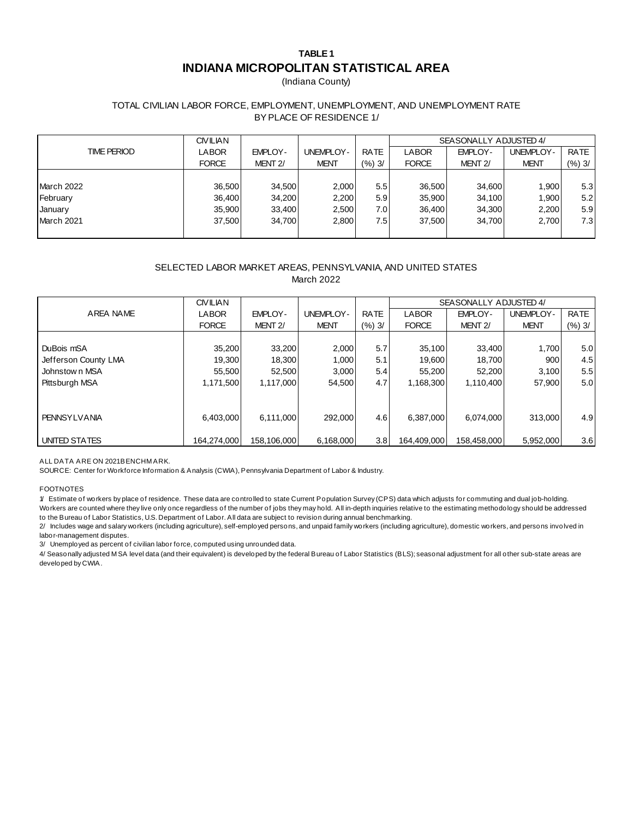### **TABLE 1 INDIANA MICROPOLITAN STATISTICAL AREA**

(Indiana County)

#### TOTAL CIVILIAN LABOR FORCE, EMPLOYMENT, UNEMPLOYMENT, AND UNEMPLOYMENT RATE BY PLACE OF RESIDENCE 1/

|             | <b>CIVILIAN</b> |                     |                  |                  | SEASONALLY ADJUSTED 4/ |                     |             |             |
|-------------|-----------------|---------------------|------------------|------------------|------------------------|---------------------|-------------|-------------|
| TIME PERIOD | LABOR           | EMPLOY-             | <b>UNEMPLOY-</b> | <b>RATE</b>      | LABOR                  | EMPLOY-             | UNEMPLOY-   | <b>RATE</b> |
|             | <b>FORCE</b>    | MENT <sub>2</sub> / | <b>MENT</b>      | (%3)             | <b>FORCE</b>           | MENT <sub>2</sub> / | <b>MENT</b> | (%) 3/      |
|             |                 |                     |                  |                  |                        |                     |             |             |
| March 2022  | 36,500          | 34,500              | 2,000            | 5.5 <sub>1</sub> | 36,500                 | 34.600              | 1.900       | 5.3         |
| February    | 36,400          | 34,200              | 2,200            | 5.91             | 35,900                 | 34,100              | 1,900       | 5.2         |
| January     | 35,900          | 33,400              | 2,500            | 7.0              | 36,400                 | 34,300              | 2.200       | 5.9         |
| March 2021  | 37.500          | 34.700              | 2,800            | 7.51             | 37.500                 | 34.700              | 2.700       | 7.3         |
|             |                 |                     |                  |                  |                        |                     |             |             |

#### SELECTED LABOR MARKET AREAS, PENNSYLVANIA, AND UNITED STATES March 2022

|                      | <b>CIVILIAN</b> |                     |                  |             | SEASONALLY ADJUSTED 4/ |                     |                  |             |
|----------------------|-----------------|---------------------|------------------|-------------|------------------------|---------------------|------------------|-------------|
| AREA NAME            | <b>LABOR</b>    | EMPLOY-             | <b>UNEMPLOY-</b> | <b>RATE</b> | <b>LABOR</b>           | <b>EMPLOY-</b>      | <b>UNEMPLOY-</b> | <b>RATE</b> |
|                      | <b>FORCE</b>    | MENT <sub>2</sub> / | <b>MENT</b>      | (%) 3/      | <b>FORCE</b>           | MENT <sub>2</sub> / | <b>MENT</b>      | (%) 3/      |
|                      |                 |                     |                  |             |                        |                     |                  |             |
| DuBois mSA           | 35,200          | 33,200              | 2,000            | 5.7         | 35,100                 | 33,400              | 1,700            | 5.0         |
| Jefferson County LMA | 19,300          | 18,300              | 1,000            | 5.1         | 19,600                 | 18,700              | 900              | 4.5         |
| Johnstown MSA        | 55,500          | 52,500              | 3,000            | 5.4         | 55.200                 | 52.200              | 3.100            | 5.5         |
| Pittsburgh MSA       | 1.171.500       | 1.117.000           | 54.500           | 4.7         | 1.168.300              | 1.110.400           | 57.900           | 5.0         |
|                      |                 |                     |                  |             |                        |                     |                  |             |
|                      |                 |                     |                  |             |                        |                     |                  |             |
| <b>PENNSYLVANIA</b>  | 6,403,000       | 6,111,000           | 292,000          | 4.6         | 6,387,000              | 6,074,000           | 313,000          | 4.9         |
|                      |                 |                     |                  |             |                        |                     |                  |             |
| UNITED STATES        | 164,274,000     | 158,106,000         | 6,168,000        | 3.8         | 164,409,000            | 158,458,000         | 5,952,000        | 3.6         |

ALL DATA ARE ON 2021 BENCHMARK.

SOURCE: Center for Workforce Information & Analysis (CWIA), Pennsylvania Department of Labor & Industry.

#### FOOTNOTES

1/ Estimate of workers by place of residence. These data are controlled to state Current Population Survey (CPS) data which adjusts for commuting and dual job-holding.

Workers are counted where they live only once regardless of the number of jobs they may hold. All in-depth inquiries relative to the estimating methodology should be addressed to the Bureau of Labor Statistics, U.S. Department of Labor. All data are subject to revision during annual benchmarking.

to the Bureau of Labor Statistics, U.S. Department of Labor. All data are subject to revision during annual benchmarking.<br>2/ Includes wage and salary workers (including agriculture), self-employed persons, and unpaid famil 2/ Includes wage and salary workers (including agriculture), self-employed persons, and unpaid family workers (including agriculture), domestic workers, and persons involved in labor-management disputes.

3/ Unemployed as percent of civilian labor force, computed using unrounded data.

developed by CWIA.